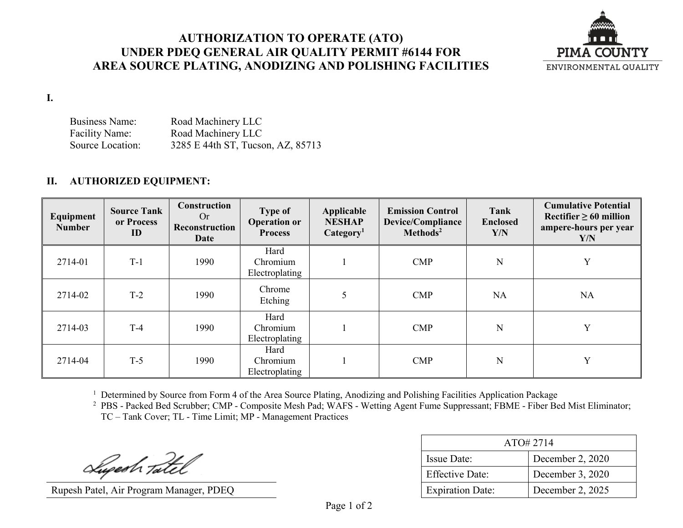## **AUTHORIZATION TO OPERATE (ATO) UNDER PDEQ GENERAL AIR QUALITY PERMIT #6144 FOR AREA SOURCE PLATING, ANODIZING AND POLISHING FACILITIES**



**I.**

Business Name: Road Machinery LLC Facility Name: Road Machinery LLC Source Location: 3285 E 44th ST, Tucson, AZ, 85713

## **II. AUTHORIZED EQUIPMENT:**

| Equipment<br><b>Number</b> | <b>Source Tank</b><br>or Process<br>ID | Construction<br>Or<br>Reconstruction<br><b>Date</b> | <b>Type of</b><br><b>Operation or</b><br><b>Process</b> | Applicable<br><b>NESHAP</b><br>Categorical <sub>1</sub> | <b>Emission Control</b><br><b>Device/Compliance</b><br>Methods <sup>2</sup> | Tank<br><b>Enclosed</b><br>Y/N | <b>Cumulative Potential</b><br>Rectifier $\geq 60$ million<br>ampere-hours per year<br>Y/N |
|----------------------------|----------------------------------------|-----------------------------------------------------|---------------------------------------------------------|---------------------------------------------------------|-----------------------------------------------------------------------------|--------------------------------|--------------------------------------------------------------------------------------------|
| 2714-01                    | $T-1$                                  | 1990                                                | Hard<br>Chromium<br>Electroplating                      |                                                         | $\mathbf{CMP}$                                                              | N                              | Y                                                                                          |
| 2714-02                    | $T-2$                                  | 1990                                                | Chrome<br>Etching                                       | 5                                                       | $\mathbf{CMP}$                                                              | <b>NA</b>                      | <b>NA</b>                                                                                  |
| 2714-03                    | $T-4$                                  | 1990                                                | Hard<br>Chromium<br>Electroplating                      |                                                         | $\mathbf{CMP}$                                                              | N                              | Y                                                                                          |
| 2714-04                    | $T-5$                                  | 1990                                                | Hard<br>Chromium<br>Electroplating                      |                                                         | $\mathbf{CMP}$                                                              | N                              | Y                                                                                          |

<sup>1</sup> Determined by Source from Form 4 of the Area Source Plating, Anodizing and Polishing Facilities Application Package

<sup>2</sup> PBS - Packed Bed Scrubber; CMP - Composite Mesh Pad; WAFS - Wetting Agent Fume Suppressant; FBME - Fiber Bed Mist Eliminator; TC – Tank Cover; TL - Time Limit; MP - Management Practices

Superh Tatel

Rupesh Patel, Air Program Manager, PDEQ

| ATO# 2714               |                  |  |
|-------------------------|------------------|--|
| <b>Issue Date:</b>      | December 2, 2020 |  |
| <b>Effective Date:</b>  | December 3, 2020 |  |
| <b>Expiration Date:</b> | December 2, 2025 |  |